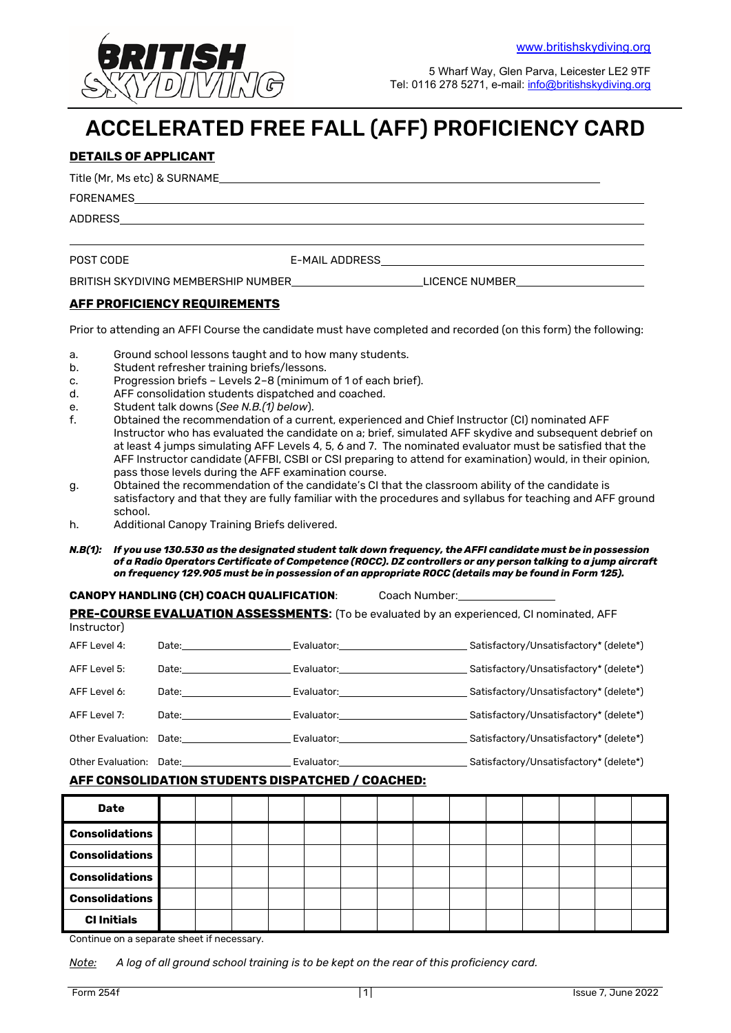

5 Wharf Way, Glen Parva, Leicester LE2 9TF Tel: 0116 278 5271, e-mail: info@britishskydiving.org

# ACCELERATED FREE FALL (AFF) PROFICIENCY CARD

#### **DETAILS OF APPLICANT**

Title (Mr, Ms etc) & SURNAME

FORENAMES

ADDRESS

POST CODE E-MAIL ADDRESS

BRITISH SKYDIVING MEMBERSHIP NUMBER LICENCE NUMBER LICENCE NUMBER

#### **AFF PROFICIENCY REQUIREMENTS**

Prior to attending an AFFI Course the candidate must have completed and recorded (on this form) the following:

- a. Ground school lessons taught and to how many students.
- b. Student refresher training briefs/lessons.
- c. Progression briefs Levels 2–8 (minimum of 1 of each brief).
- d. AFF consolidation students dispatched and coached.
- e. Student talk downs (*See N.B.(1) below*).
- f. Obtained the recommendation of a current, experienced and Chief Instructor (CI) nominated AFF Instructor who has evaluated the candidate on a; brief, simulated AFF skydive and subsequent debrief on at least 4 jumps simulating AFF Levels 4, 5, 6 and 7. The nominated evaluator must be satisfied that the AFF Instructor candidate (AFFBI, CSBI or CSI preparing to attend for examination) would, in their opinion, pass those levels during the AFF examination course.
- g. Obtained the recommendation of the candidate's CI that the classroom ability of the candidate is satisfactory and that they are fully familiar with the procedures and syllabus for teaching and AFF ground school.
- h. Additional Canopy Training Briefs delivered.
- *N.B(1): If you use 130.530 as the designated student talk down frequency, the AFFI candidate must be in possession of a Radio Operators Certificate of Competence (ROCC). DZ controllers or any person talking to a jump aircraft on frequency 129.905 must be in possession of an appropriate ROCC (details may be found in Form 125).*

#### **CANOPY HANDLING (CH) COACH QUALIFICATION**: Coach Number:

**PRE-COURSE EVALUATION ASSESSMENTS:** (To be evaluated by an experienced, CI nominated, AFF

| Instructor)  |                                                                                                                                                                                                                                |                                                                                                                 |                                        |
|--------------|--------------------------------------------------------------------------------------------------------------------------------------------------------------------------------------------------------------------------------|-----------------------------------------------------------------------------------------------------------------|----------------------------------------|
| AFF Level 4: | Date: the contract of the contract of the contract of the contract of the contract of the contract of the contract of the contract of the contract of the contract of the contract of the contract of the contract of the cont | Evaluator: will be a series of the series of the series of the series of the series of the series of the series | Satisfactory/Unsatisfactory* (delete*) |
| AFF Level 5: |                                                                                                                                                                                                                                | Evaluator: will be a series of the series of the series of the series of the series of the series of the series | Satisfactory/Unsatisfactory* (delete*) |
| AFF Level 6: | Date: the contract of the contract of the contract of the contract of the contract of the contract of the contract of the contract of the contract of the contract of the contract of the contract of the contract of the cont | Evaluator: www.com/watch?com/watch?com/                                                                         | Satisfactory/Unsatisfactory* (delete*) |
| AFF Level 7: | Date: the contract of the contract of the contract of the contract of the contract of the contract of the contract of the contract of the contract of the contract of the contract of the contract of the contract of the cont | Evaluator: will be a series of the series of the series of the series of the series of the series of the series | Satisfactory/Unsatisfactory* (delete*) |
|              | Other Evaluation: Date:                                                                                                                                                                                                        | Evaluator: will be a series of the series of the series of the series of the series of the series of the series | Satisfactory/Unsatisfactory* (delete*) |
|              | Other Evaluation: Date:                                                                                                                                                                                                        | Evaluator:                                                                                                      | Satisfactory/Unsatisfactory* (delete*) |

#### **AFF CONSOLIDATION STUDENTS DISPATCHED / COACHED:**

| <b>Date</b>           |  |  |  |  |  |  |  |
|-----------------------|--|--|--|--|--|--|--|
| <b>Consolidations</b> |  |  |  |  |  |  |  |
| <b>Consolidations</b> |  |  |  |  |  |  |  |
| <b>Consolidations</b> |  |  |  |  |  |  |  |
| <b>Consolidations</b> |  |  |  |  |  |  |  |
| <b>CI Initials</b>    |  |  |  |  |  |  |  |

Continue on a separate sheet if necessary.

*Note: A log of all ground school training is to be kept on the rear of this proficiency card.*